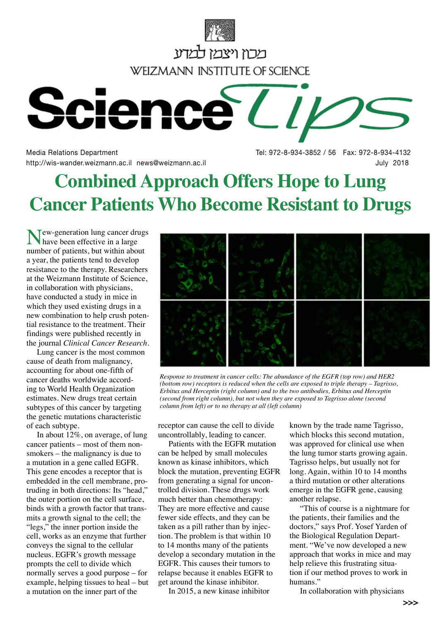

Media Relations Department Tel: 972-8-934-3852 / 56 Fax: 972-8-934-4132 http://wis-wander.weizmann.ac.il news@weizmann.ac.il July 2018

## **Combined Approach Offers Hope to Lung Cancer Patients Who Become Resistant to Drugs**

 $\mathsf{T}$ ew-generation lung cancer drugs have been effective in a large number of patients, but within about a year, the patients tend to develop resistance to the therapy. Researchers at the Weizmann Institute of Science, in collaboration with physicians, have conducted a study in mice in which they used existing drugs in a new combination to help crush potential resistance to the treatment. Their findings were published recently in the journal *Clinical Cancer Research*.

Lung cancer is the most common cause of death from malignancy, accounting for about one-fifth of cancer deaths worldwide according to World Health Organization estimates. New drugs treat certain subtypes of this cancer by targeting the genetic mutations characteristic of each subtype.

In about 12%, on average, of lung cancer patients – most of them nonsmokers – the malignancy is due to a mutation in a gene called EGFR. This gene encodes a receptor that is embedded in the cell membrane, protruding in both directions: Its "head," the outer portion on the cell surface, binds with a growth factor that transmits a growth signal to the cell; the "legs," the inner portion inside the cell, works as an enzyme that further conveys the signal to the cellular nucleus. EGFR's growth message prompts the cell to divide which normally serves a good purpose – for example, helping tissues to heal – but a mutation on the inner part of the



*Response to treatment in cancer cells: The abundance of the EGFR (top row) and HER2 (bottom row) receptors is reduced when the cells are exposed to triple therapy – Tagrisso, Erbitux and Herceptin (right column) and to the two antibodies, Erbitux and Herceptin (second from right column), but not when they are exposed to Tagrisso alone (second column from left) or to no therapy at all (left column)*

receptor can cause the cell to divide uncontrollably, leading to cancer.

Patients with the EGFR mutation can be helped by small molecules known as kinase inhibitors, which block the mutation, preventing EGFR from generating a signal for uncontrolled division. These drugs work much better than chemotherapy: They are more effective and cause fewer side effects, and they can be taken as a pill rather than by injection. The problem is that within 10 to 14 months many of the patients develop a secondary mutation in the EGFR. This causes their tumors to relapse because it enables EGFR to get around the kinase inhibitor.

In 2015, a new kinase inhibitor

known by the trade name Tagrisso, which blocks this second mutation, was approved for clinical use when the lung tumor starts growing again. Tagrisso helps, but usually not for long. Again, within 10 to 14 months a third mutation or other alterations emerge in the EGFR gene, causing another relapse.

"This of course is a nightmare for the patients, their families and the doctors," says Prof. Yosef Yarden of the Biological Regulation Department. "We've now developed a new approach that works in mice and may help relieve this frustrating situation if our method proves to work in humans."

In collaboration with physicians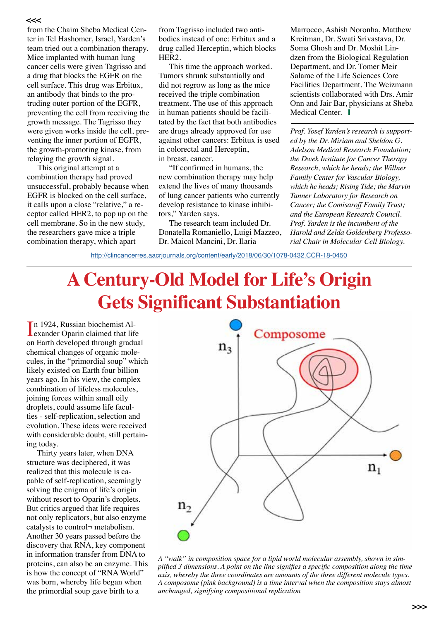from the Chaim Sheba Medical Center in Tel Hashomer, Israel, Yarden's team tried out a combination therapy. Mice implanted with human lung cancer cells were given Tagrisso and a drug that blocks the EGFR on the cell surface. This drug was Erbitux, an antibody that binds to the protruding outer portion of the EGFR, preventing the cell from receiving the growth message. The Tagrisso they were given works inside the cell, preventing the inner portion of EGFR, the growth-promoting kinase, from relaying the growth signal.

This original attempt at a combination therapy had proved unsuccessful, probably because when EGFR is blocked on the cell surface, it calls upon a close "relative," a receptor called HER2, to pop up on the cell membrane. So in the new study, the researchers gave mice a triple combination therapy, which apart

from Tagrisso included two antibodies instead of one: Erbitux and a drug called Herceptin, which blocks HER2.

This time the approach worked. Tumors shrunk substantially and did not regrow as long as the mice received the triple combination treatment. The use of this approach in human patients should be facilitated by the fact that both antibodies are drugs already approved for use against other cancers: Erbitux is used in colorectal and Herceptin, in breast, cancer.

"If confirmed in humans, the new combination therapy may help extend the lives of many thousands of lung cancer patients who currently develop resistance to kinase inhibitors," Yarden says.

The research team included Dr. Donatella Romaniello, Luigi Mazzeo, Dr. Maicol Mancini, Dr. Ilaria

Marrocco, Ashish Noronha, Matthew Kreitman, Dr. Swati Srivastava, Dr. Soma Ghosh and Dr. Moshit Lindzen from the Biological Regulation Department, and Dr. Tomer Meir Salame of the Life Sciences Core Facilities Department. The Weizmann scientists collaborated with Drs. Amir Onn and Jair Bar, physicians at Sheba Medical Center.  $\blacksquare$ 

*Prof. Yosef Yarden's research is supported by the Dr. Miriam and Sheldon G. Adelson Medical Research Foundation; the Dwek Institute for Cancer Therapy Research, which he heads; the Willner Family Center for Vascular Biology, which he heads; Rising Tide; the Marvin Tanner Laboratory for Research on Cancer; the Comisaroff Family Trust; and the European Research Council. Prof. Yarden is the incumbent of the Harold and Zelda Goldenberg Professorial Chair in Molecular Cell Biology.* 

<http://clincancerres.aacrjournals.org/content/early/2018/06/30/1078-0432.CCR-18-0450>

# **A Century-Old Model for Life's Origin Gets Significant Substantiation**

In 1924, Russian biochemist Alexander Oparin claimed that life n 1924, Russian biochemist Alon Earth developed through gradual chemical changes of organic molecules, in the "primordial soup" which likely existed on Earth four billion years ago. In his view, the complex combination of lifeless molecules, joining forces within small oily droplets, could assume life faculties - self-replication, selection and evolution. These ideas were received with considerable doubt, still pertaining today.

Thirty years later, when DNA structure was deciphered, it was realized that this molecule is capable of self-replication, seemingly solving the enigma of life's origin without resort to Oparin's droplets. But critics argued that life requires not only replicators, but also enzyme catalysts to control¬ metabolism. Another 30 years passed before the discovery that RNA, key component in information transfer from DNA to proteins, can also be an enzyme. This is how the concept of "RNA World" was born, whereby life began when the primordial soup gave birth to a



*A "walk" in composition space for a lipid world molecular assembly, shown in simplified 3 dimensions. A point on the line signifies a specific composition along the time axis, whereby the three coordinates are amounts of the three different molecule types. A composome (pink background) is a time interval when the composition stays almost unchanged, signifying compositional replication*

#### **>>>**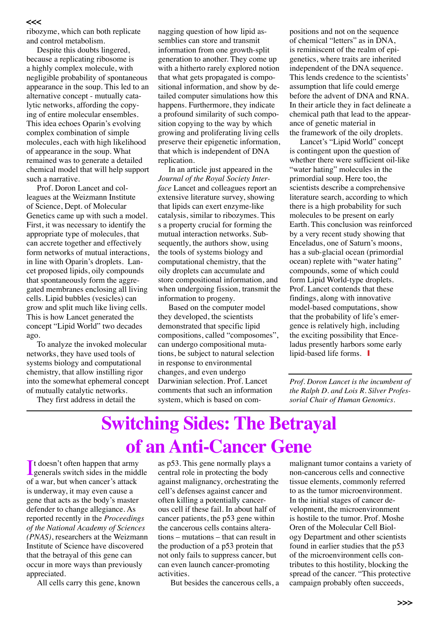#### **>>>**

ribozyme, which can both replicate and control metabolism.

Despite this doubts lingered, because a replicating ribosome is a highly complex molecule, with negligible probability of spontaneous appearance in the soup. This led to an alternative concept - mutually catalytic networks, affording the copying of entire molecular ensembles. This idea echoes Oparin's evolving complex combination of simple molecules, each with high likelihood of appearance in the soup. What remained was to generate a detailed chemical model that will help support such a narrative.

Prof. Doron Lancet and colleagues at the Weizmann Institute of Science, Dept. of Molecular Genetics came up with such a model. First, it was necessary to identify the appropriate type of molecules, that can accrete together and effectively form networks of mutual interactions, in line with Oparin's droplets. Lancet proposed lipids, oily compounds that spontaneously form the aggregated membranes enclosing all living cells. Lipid bubbles (vesicles) can grow and split much like living cells. This is how Lancet generated the concept "Lipid World" two decades ago.

To analyze the invoked molecular networks, they have used tools of systems biology and computational chemistry, that allow instilling rigor into the somewhat ephemeral concept of mutually catalytic networks.

They first address in detail the

nagging question of how lipid assemblies can store and transmit information from one growth-split generation to another. They come up with a hitherto rarely explored notion that what gets propagated is compositional information, and show by detailed computer simulations how this happens. Furthermore, they indicate a profound similarity of such composition copying to the way by which growing and proliferating living cells preserve their epigenetic information, that which is independent of DNA replication.

In an article just appeared in the *Journal of the Royal Society Interface* Lancet and colleagues report an extensive literature survey, showing that lipids can exert enzyme-like catalysis, similar to ribozymes. This s a property crucial for forming the mutual interaction networks. Subsequently, the authors show, using the tools of systems biology and computational chemistry, that the oily droplets can accumulate and store compositional information, and when undergoing fission, transmit the information to progeny.

Based on the computer model they developed, the scientists demonstrated that specific lipid compositions, called "composomes", can undergo compositional mutations, be subject to natural selection in response to environmental changes, and even undergo Darwinian selection. Prof. Lancet comments that such an information system, which is based on compositions and not on the sequence of chemical "letters" as in DNA, is reminiscent of the realm of epigenetics, where traits are inherited independent of the DNA sequence. This lends credence to the scientists' assumption that life could emerge before the advent of DNA and RNA. In their article they in fact delineate a chemical path that lead to the appearance of genetic material in the framework of the oily droplets.

Lancet's "Lipid World" concept is contingent upon the question of whether there were sufficient oil-like "water hating" molecules in the primordial soup. Here too, the scientists describe a comprehensive literature search, according to which there is a high probability for such molecules to be present on early Earth. This conclusion was reinforced by a very recent study showing that Enceladus, one of Saturn's moons, has a sub-glacial ocean (primordial ocean) replete with "water hating" compounds, some of which could form Lipid World-type droplets. Prof. Lancet contends that these findings, along with innovative model-based computations, show that the probability of life's emergence is relatively high, including the exciting possibility that Enceladus presently harbors some early lipid-based life forms.  $\blacksquare$ 

*Prof. Doron Lancet is the incumbent of the Ralph D. and Lois R. Silver Professorial Chair of Human Genomics.*

## **Switching Sides: The Betrayal of an Anti-Cancer Gene**

It doesn't often happen that army<br>generals switch sides in the middle If doesn't often happen that army of a war, but when cancer's attack is underway, it may even cause a gene that acts as the body's master defender to change allegiance. As reported recently in the *Proceedings of the National Academy of Sciences (PNAS)*, researchers at the Weizmann Institute of Science have discovered that the betrayal of this gene can occur in more ways than previously appreciated.

All cells carry this gene, known

as p53. This gene normally plays a central role in protecting the body against malignancy, orchestrating the cell's defenses against cancer and often killing a potentially cancerous cell if these fail. In about half of cancer patients, the p53 gene within the cancerous cells contains alterations – mutations – that can result in the production of a p53 protein that not only fails to suppress cancer, but can even launch cancer-promoting activities.

But besides the cancerous cells, a

malignant tumor contains a variety of non-cancerous cells and connective tissue elements, commonly referred to as the tumor microenvironment. In the initial stages of cancer development, the microenvironment is hostile to the tumor. Prof. Moshe Oren of the Molecular Cell Biology Department and other scientists found in earlier studies that the p53 of the microenvironment cells contributes to this hostility, blocking the spread of the cancer. "This protective campaign probably often succeeds,